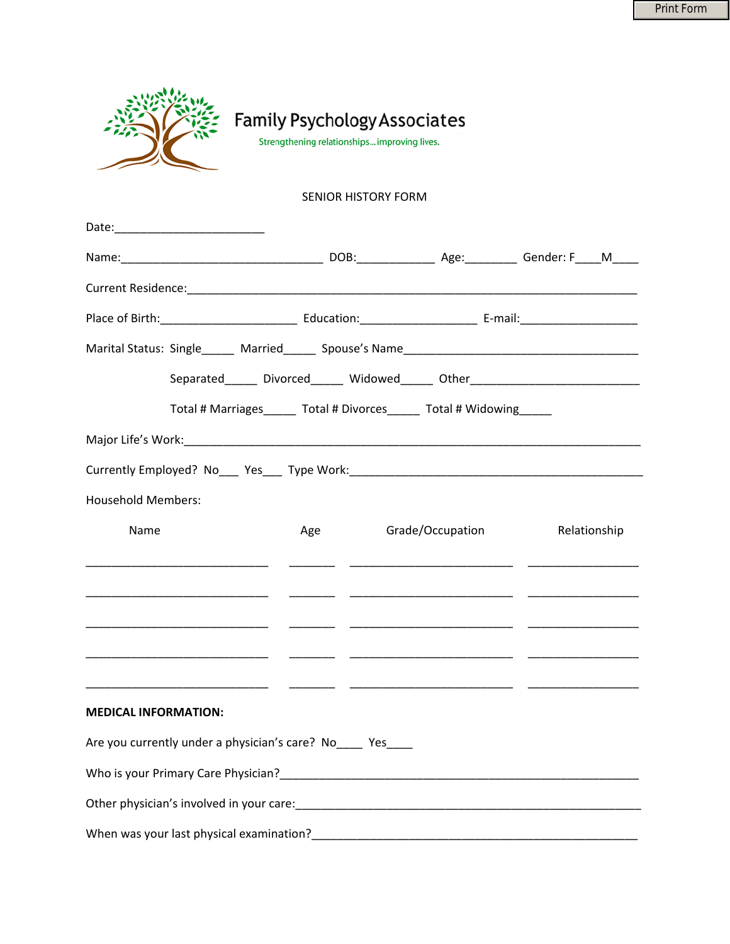|                                                            |                                                          |  |     | <b>Family Psychology Associates</b><br>Strengthening relationships improving lives. |                  |  |                                                                                  |
|------------------------------------------------------------|----------------------------------------------------------|--|-----|-------------------------------------------------------------------------------------|------------------|--|----------------------------------------------------------------------------------|
|                                                            |                                                          |  |     | <b>SENIOR HISTORY FORM</b>                                                          |                  |  |                                                                                  |
|                                                            |                                                          |  |     |                                                                                     |                  |  |                                                                                  |
|                                                            |                                                          |  |     |                                                                                     |                  |  |                                                                                  |
|                                                            |                                                          |  |     |                                                                                     |                  |  |                                                                                  |
|                                                            |                                                          |  |     |                                                                                     |                  |  |                                                                                  |
|                                                            |                                                          |  |     |                                                                                     |                  |  |                                                                                  |
|                                                            |                                                          |  |     |                                                                                     |                  |  | Separated_______ Divorced_______ Widowed______ Other____________________________ |
|                                                            |                                                          |  |     | Total # Marriages______ Total # Divorces______ Total # Widowing_____                |                  |  |                                                                                  |
|                                                            |                                                          |  |     |                                                                                     |                  |  |                                                                                  |
|                                                            |                                                          |  |     |                                                                                     |                  |  |                                                                                  |
| <b>Household Members:</b>                                  |                                                          |  |     |                                                                                     |                  |  |                                                                                  |
| Name                                                       |                                                          |  | Age |                                                                                     | Grade/Occupation |  | Relationship                                                                     |
|                                                            |                                                          |  |     |                                                                                     |                  |  |                                                                                  |
|                                                            |                                                          |  |     |                                                                                     |                  |  |                                                                                  |
|                                                            | <u> 1999 - Johann John Stone, mars eta biztanleria (</u> |  |     |                                                                                     |                  |  |                                                                                  |
| <b>MEDICAL INFORMATION:</b>                                |                                                          |  |     |                                                                                     |                  |  |                                                                                  |
| Are you currently under a physician's care? No____ Yes____ |                                                          |  |     |                                                                                     |                  |  |                                                                                  |
|                                                            |                                                          |  |     |                                                                                     |                  |  |                                                                                  |
|                                                            |                                                          |  |     |                                                                                     |                  |  |                                                                                  |
|                                                            |                                                          |  |     |                                                                                     |                  |  |                                                                                  |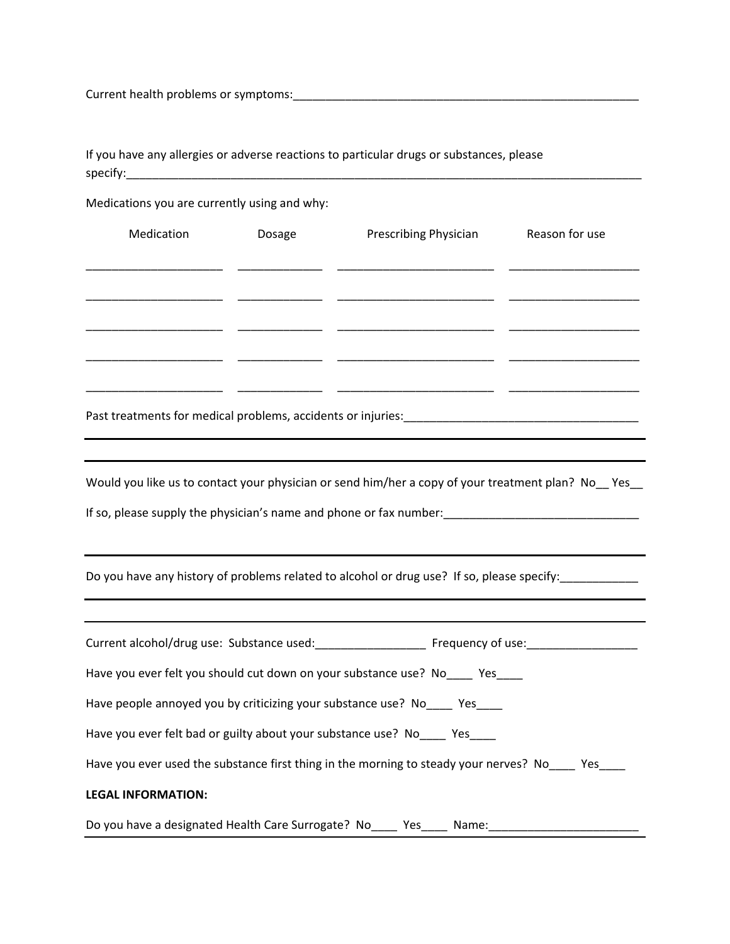Current health problems or symptoms:\_\_\_\_\_\_\_\_\_\_\_\_\_\_\_\_\_\_\_\_\_\_\_\_\_\_\_\_\_\_\_\_\_\_\_\_\_\_\_\_\_\_\_\_\_\_\_\_\_\_\_\_\_

If you have any allergies or adverse reactions to particular drugs or substances, please  ${\sf specify:}\_$ 

Medications you are currently using and why:

| Medication                | Dosage | Prescribing Physician                                                                              | Reason for use |
|---------------------------|--------|----------------------------------------------------------------------------------------------------|----------------|
|                           |        |                                                                                                    |                |
|                           |        |                                                                                                    |                |
|                           |        |                                                                                                    |                |
|                           |        |                                                                                                    |                |
|                           |        | Would you like us to contact your physician or send him/her a copy of your treatment plan? No_Yes_ |                |
|                           |        |                                                                                                    |                |
|                           |        | Do you have any history of problems related to alcohol or drug use? If so, please specify:         |                |
|                           |        |                                                                                                    |                |
|                           |        | Have you ever felt you should cut down on your substance use? No____ Yes____                       |                |
|                           |        | Have people annoyed you by criticizing your substance use? No____ Yes____                          |                |
|                           |        | Have you ever felt bad or guilty about your substance use? No ____ Yes ____                        |                |
|                           |        | Have you ever used the substance first thing in the morning to steady your nerves? No _____ Yes    |                |
| <b>LEGAL INFORMATION:</b> |        |                                                                                                    |                |
|                           |        | Do you have a designated Health Care Surrogate? No_____ Yes_____ Name:                             |                |